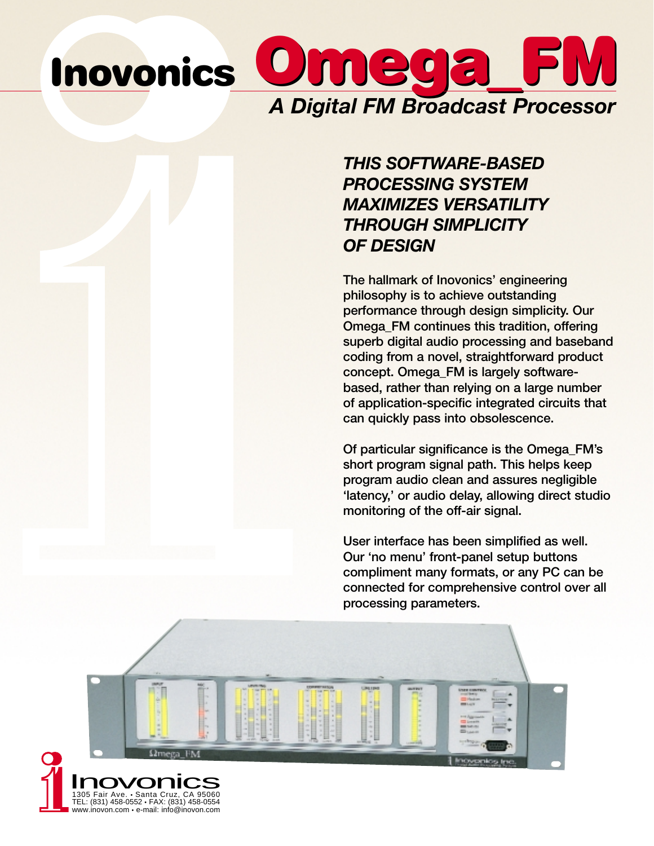## $m$  ega *A Digital FM Broadcast Processor* **Inovonics**

### *THIS SOFTWARE-BASED PROCESSING SYSTEM MAXIMIZES VERSATILITY THROUGH SIMPLICITY OF DESIGN*

**The hallmark of Inovonics' engineering philosophy is to achieve outstanding performance through design simplicity. Our Omega\_FM continues this tradition, offering superb digital audio processing and baseband coding from a novel, straightforward product concept. Omega\_FM is largely softwarebased, rather than relying on a large number of application-specific integrated circuits that can quickly pass into obsolescence.** 

**Of particular significance is the Omega\_FM's short program signal path. This helps keep program audio clean and assures negligible 'latency,' or audio delay, allowing direct studio monitoring of the off-air signal.** 

**User interface has been simplified as well. Our 'no menu' front-panel setup buttons compliment many formats, or any PC can be connected for comprehensive control over all processing parameters.**